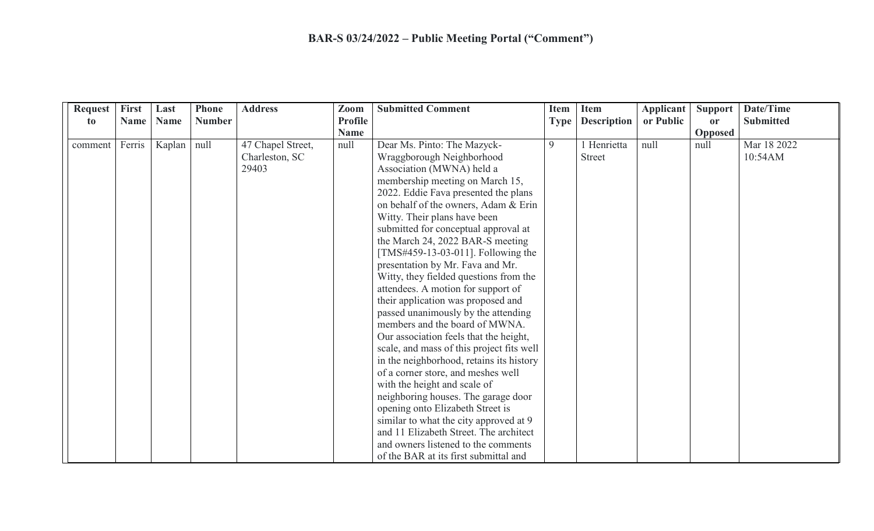| <b>Request</b> | First       | Last        | <b>Phone</b>  | <b>Address</b>    | Zoom                          | <b>Submitted Comment</b>                  | <b>Item</b> | <b>Item</b>        | <b>Applicant</b> | Support        | Date/Time        |
|----------------|-------------|-------------|---------------|-------------------|-------------------------------|-------------------------------------------|-------------|--------------------|------------------|----------------|------------------|
| to             | <b>Name</b> | <b>Name</b> | <b>Number</b> |                   | <b>Profile</b><br><b>Name</b> |                                           | <b>Type</b> | <b>Description</b> | or Public        | <b>or</b>      | <b>Submitted</b> |
|                |             |             |               |                   |                               |                                           |             |                    |                  | <b>Opposed</b> |                  |
| comment        | Ferris      | Kaplan      | null          | 47 Chapel Street, | null                          | Dear Ms. Pinto: The Mazyck-               | 9           | 1 Henrietta        | null             | null           | Mar 18 2022      |
|                |             |             |               | Charleston, SC    |                               | Wraggborough Neighborhood                 |             | <b>Street</b>      |                  |                | 10:54AM          |
|                |             |             |               | 29403             |                               | Association (MWNA) held a                 |             |                    |                  |                |                  |
|                |             |             |               |                   |                               | membership meeting on March 15,           |             |                    |                  |                |                  |
|                |             |             |               |                   |                               | 2022. Eddie Fava presented the plans      |             |                    |                  |                |                  |
|                |             |             |               |                   |                               | on behalf of the owners, Adam & Erin      |             |                    |                  |                |                  |
|                |             |             |               |                   |                               | Witty. Their plans have been              |             |                    |                  |                |                  |
|                |             |             |               |                   |                               | submitted for conceptual approval at      |             |                    |                  |                |                  |
|                |             |             |               |                   |                               | the March 24, 2022 BAR-S meeting          |             |                    |                  |                |                  |
|                |             |             |               |                   |                               | [TMS#459-13-03-011]. Following the        |             |                    |                  |                |                  |
|                |             |             |               |                   |                               | presentation by Mr. Fava and Mr.          |             |                    |                  |                |                  |
|                |             |             |               |                   |                               | Witty, they fielded questions from the    |             |                    |                  |                |                  |
|                |             |             |               |                   |                               | attendees. A motion for support of        |             |                    |                  |                |                  |
|                |             |             |               |                   |                               | their application was proposed and        |             |                    |                  |                |                  |
|                |             |             |               |                   |                               | passed unanimously by the attending       |             |                    |                  |                |                  |
|                |             |             |               |                   |                               | members and the board of MWNA.            |             |                    |                  |                |                  |
|                |             |             |               |                   |                               | Our association feels that the height,    |             |                    |                  |                |                  |
|                |             |             |               |                   |                               | scale, and mass of this project fits well |             |                    |                  |                |                  |
|                |             |             |               |                   |                               | in the neighborhood, retains its history  |             |                    |                  |                |                  |
|                |             |             |               |                   |                               | of a corner store, and meshes well        |             |                    |                  |                |                  |
|                |             |             |               |                   |                               | with the height and scale of              |             |                    |                  |                |                  |
|                |             |             |               |                   |                               | neighboring houses. The garage door       |             |                    |                  |                |                  |
|                |             |             |               |                   |                               | opening onto Elizabeth Street is          |             |                    |                  |                |                  |
|                |             |             |               |                   |                               | similar to what the city approved at 9    |             |                    |                  |                |                  |
|                |             |             |               |                   |                               | and 11 Elizabeth Street. The architect    |             |                    |                  |                |                  |
|                |             |             |               |                   |                               | and owners listened to the comments       |             |                    |                  |                |                  |
|                |             |             |               |                   |                               | of the BAR at its first submittal and     |             |                    |                  |                |                  |